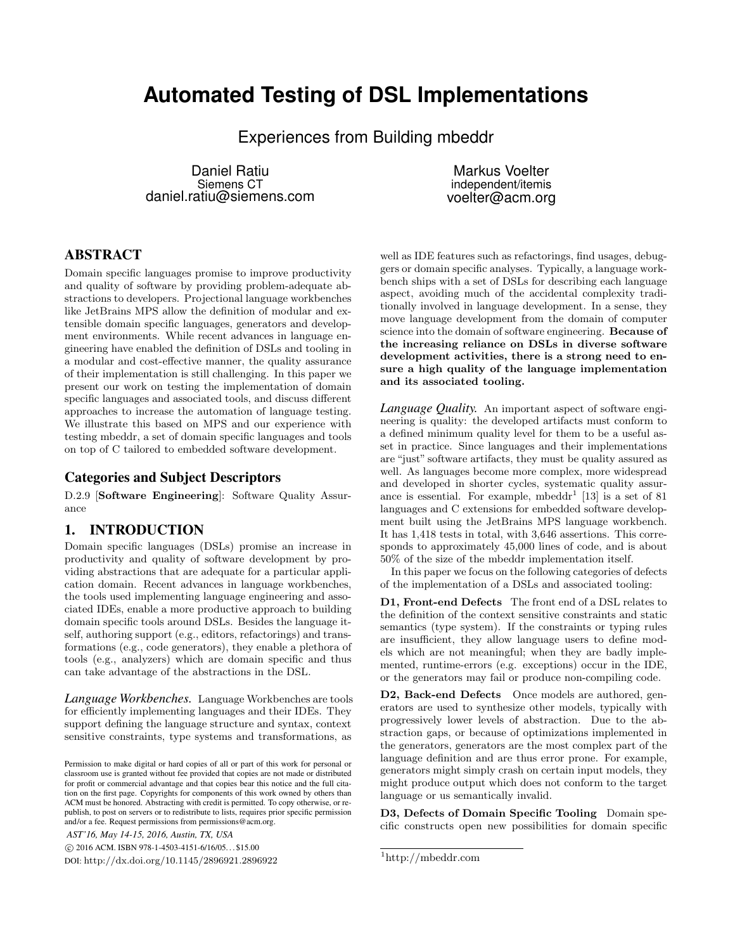# **Automated Testing of DSL Implementations**

Experiences from Building mbeddr

Daniel Ratiu Siemens CT daniel.ratiu@siemens.com

Markus Voelter independent/itemis voelter@acm.org

# ABSTRACT

Domain specific languages promise to improve productivity and quality of software by providing problem-adequate abstractions to developers. Projectional language workbenches like JetBrains MPS allow the definition of modular and extensible domain specific languages, generators and development environments. While recent advances in language engineering have enabled the definition of DSLs and tooling in a modular and cost-effective manner, the quality assurance of their implementation is still challenging. In this paper we present our work on testing the implementation of domain specific languages and associated tools, and discuss different approaches to increase the automation of language testing. We illustrate this based on MPS and our experience with testing mbeddr, a set of domain specific languages and tools on top of C tailored to embedded software development.

# Categories and Subject Descriptors

D.2.9 [Software Engineering]: Software Quality Assurance

# 1. INTRODUCTION

Domain specific languages (DSLs) promise an increase in productivity and quality of software development by providing abstractions that are adequate for a particular application domain. Recent advances in language workbenches, the tools used implementing language engineering and associated IDEs, enable a more productive approach to building domain specific tools around DSLs. Besides the language itself, authoring support (e.g., editors, refactorings) and transformations (e.g., code generators), they enable a plethora of tools (e.g., analyzers) which are domain specific and thus can take advantage of the abstractions in the DSL.

*Language Workbenches.* Language Workbenches are tools for efficiently implementing languages and their IDEs. They support defining the language structure and syntax, context sensitive constraints, type systems and transformations, as

*AST'16, May 14-15, 2016, Austin, TX, USA*

 c 2016 ACM. ISBN 978-1-4503-4151-6/16/05. . . \$15.00 DOI: http://dx.doi.org/10.1145/2896921.2896922 well as IDE features such as refactorings, find usages, debuggers or domain specific analyses. Typically, a language workbench ships with a set of DSLs for describing each language aspect, avoiding much of the accidental complexity traditionally involved in language development. In a sense, they move language development from the domain of computer science into the domain of software engineering. Because of the increasing reliance on DSLs in diverse software development activities, there is a strong need to ensure a high quality of the language implementation and its associated tooling.

*Language Quality.* An important aspect of software engineering is quality: the developed artifacts must conform to a defined minimum quality level for them to be a useful asset in practice. Since languages and their implementations are "just" software artifacts, they must be quality assured as well. As languages become more complex, more widespread and developed in shorter cycles, systematic quality assurance is essential. For example, mbeddr<sup>1</sup> [13] is a set of 81 languages and C extensions for embedded software development built using the JetBrains MPS language workbench. It has 1,418 tests in total, with 3,646 assertions. This corresponds to approximately 45,000 lines of code, and is about 50% of the size of the mbeddr implementation itself.

In this paper we focus on the following categories of defects of the implementation of a DSLs and associated tooling:

D1, Front-end Defects The front end of a DSL relates to the definition of the context sensitive constraints and static semantics (type system). If the constraints or typing rules are insufficient, they allow language users to define models which are not meaningful; when they are badly implemented, runtime-errors (e.g. exceptions) occur in the IDE, or the generators may fail or produce non-compiling code.

D2, Back-end Defects Once models are authored, generators are used to synthesize other models, typically with progressively lower levels of abstraction. Due to the abstraction gaps, or because of optimizations implemented in the generators, generators are the most complex part of the language definition and are thus error prone. For example, generators might simply crash on certain input models, they might produce output which does not conform to the target language or us semantically invalid.

D3, Defects of Domain Specific Tooling Domain specific constructs open new possibilities for domain specific

Permission to make digital or hard copies of all or part of this work for personal or classroom use is granted without fee provided that copies are not made or distributed for profit or commercial advantage and that copies bear this notice and the full citation on the first page. Copyrights for components of this work owned by others than ACM must be honored. Abstracting with credit is permitted. To copy otherwise, or republish, to post on servers or to redistribute to lists, requires prior specific permission and/or a fee. Request permissions from permissions@acm.org.

<sup>1</sup>http://mbeddr.com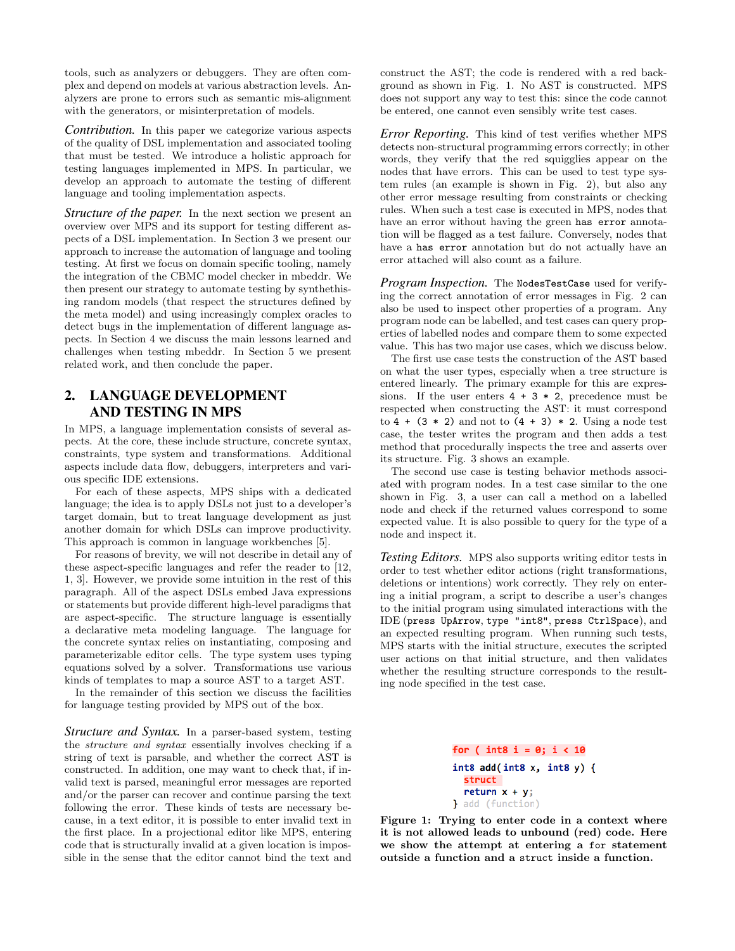tools, such as analyzers or debuggers. They are often complex and depend on models at various abstraction levels. Analyzers are prone to errors such as semantic mis-alignment with the generators, or misinterpretation of models.

*Contribution.* In this paper we categorize various aspects of the quality of DSL implementation and associated tooling that must be tested. We introduce a holistic approach for testing languages implemented in MPS. In particular, we develop an approach to automate the testing of different language and tooling implementation aspects.

*Structure of the paper.* In the next section we present an overview over MPS and its support for testing different aspects of a DSL implementation. In Section 3 we present our approach to increase the automation of language and tooling testing. At first we focus on domain specific tooling, namely the integration of the CBMC model checker in mbeddr. We then present our strategy to automate testing by synthethising random models (that respect the structures defined by the meta model) and using increasingly complex oracles to detect bugs in the implementation of different language aspects. In Section 4 we discuss the main lessons learned and challenges when testing mbeddr. In Section 5 we present related work, and then conclude the paper.

# 2. LANGUAGE DEVELOPMENT AND TESTING IN MPS

In MPS, a language implementation consists of several aspects. At the core, these include structure, concrete syntax, constraints, type system and transformations. Additional aspects include data flow, debuggers, interpreters and various specific IDE extensions.

For each of these aspects, MPS ships with a dedicated language; the idea is to apply DSLs not just to a developer's target domain, but to treat language development as just another domain for which DSLs can improve productivity. This approach is common in language workbenches [5].

For reasons of brevity, we will not describe in detail any of these aspect-specific languages and refer the reader to [12, 1, 3]. However, we provide some intuition in the rest of this paragraph. All of the aspect DSLs embed Java expressions or statements but provide different high-level paradigms that are aspect-specific. The structure language is essentially a declarative meta modeling language. The language for the concrete syntax relies on instantiating, composing and parameterizable editor cells. The type system uses typing equations solved by a solver. Transformations use various kinds of templates to map a source AST to a target AST.

In the remainder of this section we discuss the facilities for language testing provided by MPS out of the box.

*Structure and Syntax.* In a parser-based system, testing the structure and syntax essentially involves checking if a string of text is parsable, and whether the correct AST is constructed. In addition, one may want to check that, if invalid text is parsed, meaningful error messages are reported and/or the parser can recover and continue parsing the text following the error. These kinds of tests are necessary because, in a text editor, it is possible to enter invalid text in the first place. In a projectional editor like MPS, entering code that is structurally invalid at a given location is impossible in the sense that the editor cannot bind the text and

construct the AST; the code is rendered with a red background as shown in Fig. 1. No AST is constructed. MPS does not support any way to test this: since the code cannot be entered, one cannot even sensibly write test cases.

*Error Reporting.* This kind of test verifies whether MPS detects non-structural programming errors correctly; in other words, they verify that the red squigglies appear on the nodes that have errors. This can be used to test type system rules (an example is shown in Fig. 2), but also any other error message resulting from constraints or checking rules. When such a test case is executed in MPS, nodes that have an error without having the green has error annotation will be flagged as a test failure. Conversely, nodes that have a has error annotation but do not actually have an error attached will also count as a failure.

*Program Inspection.* The NodesTestCase used for verifying the correct annotation of error messages in Fig. 2 can also be used to inspect other properties of a program. Any program node can be labelled, and test cases can query properties of labelled nodes and compare them to some expected value. This has two major use cases, which we discuss below.

The first use case tests the construction of the AST based on what the user types, especially when a tree structure is entered linearly. The primary example for this are expressions. If the user enters  $4 + 3 * 2$ , precedence must be respected when constructing the AST: it must correspond to  $4 + (3 * 2)$  and not to  $(4 + 3) * 2$ . Using a node test case, the tester writes the program and then adds a test method that procedurally inspects the tree and asserts over its structure. Fig. 3 shows an example.

The second use case is testing behavior methods associated with program nodes. In a test case similar to the one shown in Fig. 3, a user can call a method on a labelled node and check if the returned values correspond to some expected value. It is also possible to query for the type of a node and inspect it.

*Testing Editors.* MPS also supports writing editor tests in order to test whether editor actions (right transformations, deletions or intentions) work correctly. They rely on entering a initial program, a script to describe a user's changes to the initial program using simulated interactions with the IDE (press UpArrow, type "int8", press CtrlSpace), and an expected resulting program. When running such tests, MPS starts with the initial structure, executes the scripted user actions on that initial structure, and then validates whether the resulting structure corresponds to the resulting node specified in the test case.

> for (int8 i =  $\theta$ ; i < 10  $ints$  add(int8 x, int8 y) { struct return  $x + y$ ; } add (function)

Figure 1: Trying to enter code in a context where it is not allowed leads to unbound (red) code. Here we show the attempt at entering a for statement outside a function and a struct inside a function.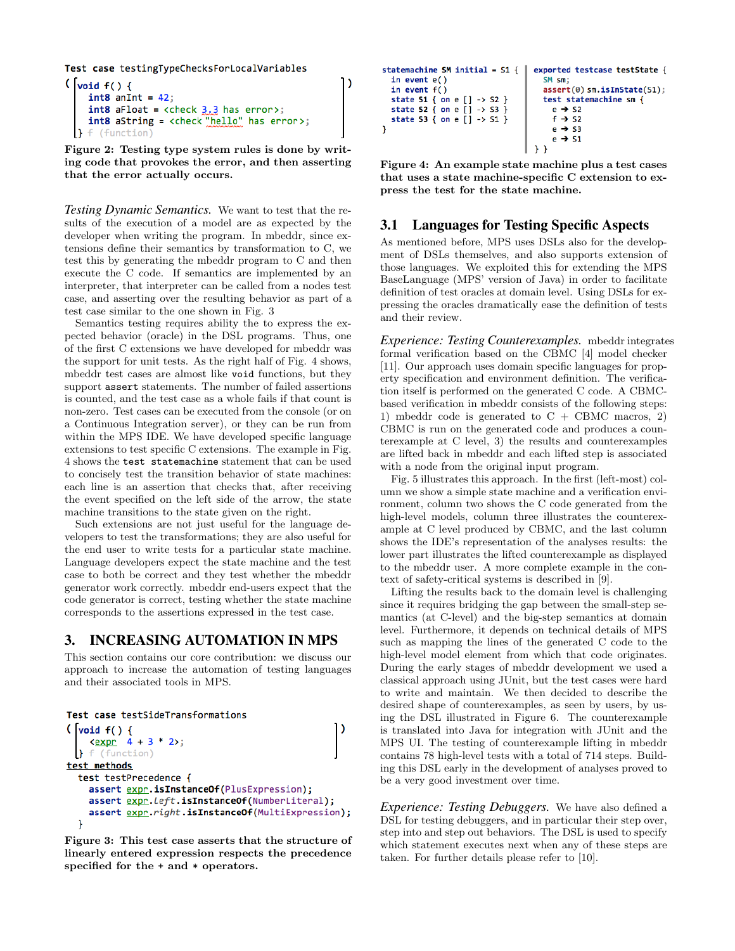Test case testingTypeChecksForLocalVariables

```
\sqrt{\text{void } f()int8 anInt = 42;
    ints aFloat = <check 3.3 has error>;
    ints aString = <check "hello" has error>;
    f (function)
```
 $\lambda$ 

Figure 2: Testing type system rules is done by writing code that provokes the error, and then asserting that the error actually occurs.

*Testing Dynamic Semantics.* We want to test that the results of the execution of a model are as expected by the developer when writing the program. In mbeddr, since extensions define their semantics by transformation to C, we test this by generating the mbeddr program to C and then execute the C code. If semantics are implemented by an interpreter, that interpreter can be called from a nodes test case, and asserting over the resulting behavior as part of a test case similar to the one shown in Fig. 3

Semantics testing requires ability the to express the expected behavior (oracle) in the DSL programs. Thus, one of the first C extensions we have developed for mbeddr was the support for unit tests. As the right half of Fig. 4 shows, mbeddr test cases are almost like void functions, but they support assert statements. The number of failed assertions is counted, and the test case as a whole fails if that count is non-zero. Test cases can be executed from the console (or on a Continuous Integration server), or they can be run from within the MPS IDE. We have developed specific language extensions to test specific C extensions. The example in Fig. 4 shows the test statemachine statement that can be used to concisely test the transition behavior of state machines: each line is an assertion that checks that, after receiving the event specified on the left side of the arrow, the state machine transitions to the state given on the right.

Such extensions are not just useful for the language developers to test the transformations; they are also useful for the end user to write tests for a particular state machine. Language developers expect the state machine and the test case to both be correct and they test whether the mbeddr generator work correctly. mbeddr end-users expect that the code generator is correct, testing whether the state machine corresponds to the assertions expressed in the test case.

## 3. INCREASING AUTOMATION IN MPS

This section contains our core contribution: we discuss our approach to increase the automation of testing languages and their associated tools in MPS.

Test case testSideTransformations

```
1)
\left(\begin{array}{c}\n\sqrt{1 + 2} & \sqrt{1 + 2} \\
\sqrt{1 + 2} & \sqrt{1 + 2} \\
\sqrt{1 + 2} & \sqrt{1 + 2} \\
\sqrt{1 + 2} & \sqrt{1 + 2} \\
\sqrt{1 + 2} & \sqrt{1 + 2} \\
\sqrt{1 + 2} & \sqrt{1 + 2} \\
\sqrt{1 + 2} & \sqrt{1 + 2} \\
\sqrt{1 + 2} & \sqrt{1 + 2} \\
\sqrt{1 + 2} & \sqrt{1 + 2} \\
\sqrt{1 + 2} & \sqrt{1 + 2} \\
\sqrt{1 + 2} & \sqrt{1 + 2} \\
\sqrt{1 + 2} & \sqrt{\frac{2}{3} + 3 * 2>;
    \} f (function)
test methods
     test testPrecedence {
           assert expr.isInstanceOf(PlusExpression);
           assert expr. Left. isInstanceOf(NumberLiteral);
           assert expr.right.isInstanceOf(MultiExpression);
     ŋ.
```
Figure 3: This test case asserts that the structure of linearly entered expression respects the precedence specified for the + and \* operators.

```
statemachine SM initial = 51 \{exported testcase testState {
  in event e()SM sm:
                                           assert(0) sm.isInState(S1);
  in event f()state S1 { on e [] -> S2 }
                                           test statemachine sm {
  state S2 { on e [] -> S3 }
                                             e \rightarrow S2f \rightarrow S2state S3 { on e [] -> S1 }
\mathbf{r}e \rightarrow S3e
                                               \rightarrow S1
                                        \mathcal{V}
```
Figure 4: An example state machine plus a test cases that uses a state machine-specific C extension to express the test for the state machine.

# 3.1 Languages for Testing Specific Aspects

As mentioned before, MPS uses DSLs also for the development of DSLs themselves, and also supports extension of those languages. We exploited this for extending the MPS BaseLanguage (MPS' version of Java) in order to facilitate definition of test oracles at domain level. Using DSLs for expressing the oracles dramatically ease the definition of tests and their review.

*Experience: Testing Counterexamples.* mbeddr integrates formal verification based on the CBMC [4] model checker [11]. Our approach uses domain specific languages for property specification and environment definition. The verification itself is performed on the generated C code. A CBMCbased verification in mbeddr consists of the following steps: 1) mbeddr code is generated to  $C + \text{CBMC}$  macros, 2) CBMC is run on the generated code and produces a counterexample at C level, 3) the results and counterexamples are lifted back in mbeddr and each lifted step is associated with a node from the original input program.

Fig. 5 illustrates this approach. In the first (left-most) column we show a simple state machine and a verification environment, column two shows the C code generated from the high-level models, column three illustrates the counterexample at C level produced by CBMC, and the last column shows the IDE's representation of the analyses results: the lower part illustrates the lifted counterexample as displayed to the mbeddr user. A more complete example in the context of safety-critical systems is described in [9].

Lifting the results back to the domain level is challenging since it requires bridging the gap between the small-step semantics (at C-level) and the big-step semantics at domain level. Furthermore, it depends on technical details of MPS such as mapping the lines of the generated C code to the high-level model element from which that code originates. During the early stages of mbeddr development we used a classical approach using JUnit, but the test cases were hard to write and maintain. We then decided to describe the desired shape of counterexamples, as seen by users, by using the DSL illustrated in Figure 6. The counterexample is translated into Java for integration with JUnit and the MPS UI. The testing of counterexample lifting in mbeddr contains 78 high-level tests with a total of 714 steps. Building this DSL early in the development of analyses proved to be a very good investment over time.

*Experience: Testing Debuggers.* We have also defined a DSL for testing debuggers, and in particular their step over, step into and step out behaviors. The DSL is used to specify which statement executes next when any of these steps are taken. For further details please refer to [10].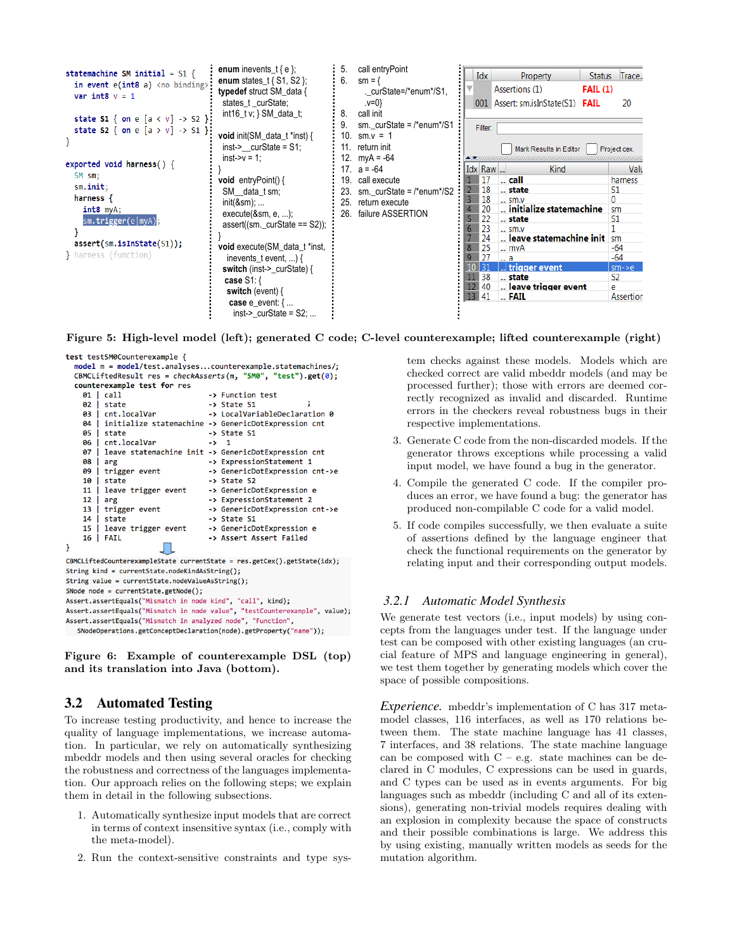

Figure 5: High-level model (left); generated C code; C-level counterexample; lifted counterexample (right)

test testSM0Counterexample { model m = model/test.analyses...counterexample.statemachines/: CBMCLiftedResult res = checkAsserts(m, "SM0", "test").get(0); counterexample test for res 01 -1  $ca11$ -> Function test 02 state -> State S1 cnt.localVar -> LocalVariableDeclaration 0 03 initialize statemachine -> GenericDotExpression cnt 04 05 state -> State S1 06 cnt.localVar  $\rightarrow$  $\overline{1}$ leave statemachine init -> GenericDotExpression cnt 07 88 arg -> ExpressionStatement 1 09 trigger event -> GenericDotExpression cnt->e  $10$ state  $-5$  State S2 11 leave trigger event -> GenericDotExpression e  $12$ arg -> ExpressionStatement 2  $13$ trigger event -> GenericDotExpression cnt->e 14 state -> State S1 -> GenericDotExpression e 15 leave trigger event 16 **FAIL** -> Assert Assert Failed  $\mathbf{1}$ CBMCLiftedCounterexampleState currentState = res.getCex().getState(idx); String kind = currentState.nodeKindAsString(); String value = currentState.nodeValueAsString(); SNode node = currentState.getNode(); Assert.assertEquals("Mismatch in node kind", "call", kind); Assert.assertEquals("Mismatch in node value", "testCounterexample", value);

Assert.assertEquals("Mismatch in analyzed node", "Function", SNodeOperations.getConceptDeclaration(node).getProperty("name"));

Figure 6: Example of counterexample DSL (top) and its translation into Java (bottom).

# 3.2 Automated Testing

To increase testing productivity, and hence to increase the quality of language implementations, we increase automation. In particular, we rely on automatically synthesizing mbeddr models and then using several oracles for checking the robustness and correctness of the languages implementation. Our approach relies on the following steps; we explain them in detail in the following subsections.

- 1. Automatically synthesize input models that are correct in terms of context insensitive syntax (i.e., comply with the meta-model).
- 2. Run the context-sensitive constraints and type sys-

tem checks against these models. Models which are checked correct are valid mbeddr models (and may be processed further); those with errors are deemed correctly recognized as invalid and discarded. Runtime errors in the checkers reveal robustness bugs in their respective implementations.

- 3. Generate C code from the non-discarded models. If the generator throws exceptions while processing a valid input model, we have found a bug in the generator.
- 4. Compile the generated C code. If the compiler produces an error, we have found a bug: the generator has produced non-compilable C code for a valid model.
- 5. If code compiles successfully, we then evaluate a suite of assertions defined by the language engineer that check the functional requirements on the generator by relating input and their corresponding output models.

# *3.2.1 Automatic Model Synthesis*

We generate test vectors (i.e., input models) by using concepts from the languages under test. If the language under test can be composed with other existing languages (an crucial feature of MPS and language engineering in general), we test them together by generating models which cover the space of possible compositions.

*Experience.* mbeddr's implementation of C has 317 metamodel classes, 116 interfaces, as well as 170 relations between them. The state machine language has 41 classes, 7 interfaces, and 38 relations. The state machine language can be composed with  $C - e.g.$  state machines can be declared in C modules, C expressions can be used in guards, and C types can be used as in events arguments. For big languages such as mbeddr (including C and all of its extensions), generating non-trivial models requires dealing with an explosion in complexity because the space of constructs and their possible combinations is large. We address this by using existing, manually written models as seeds for the mutation algorithm.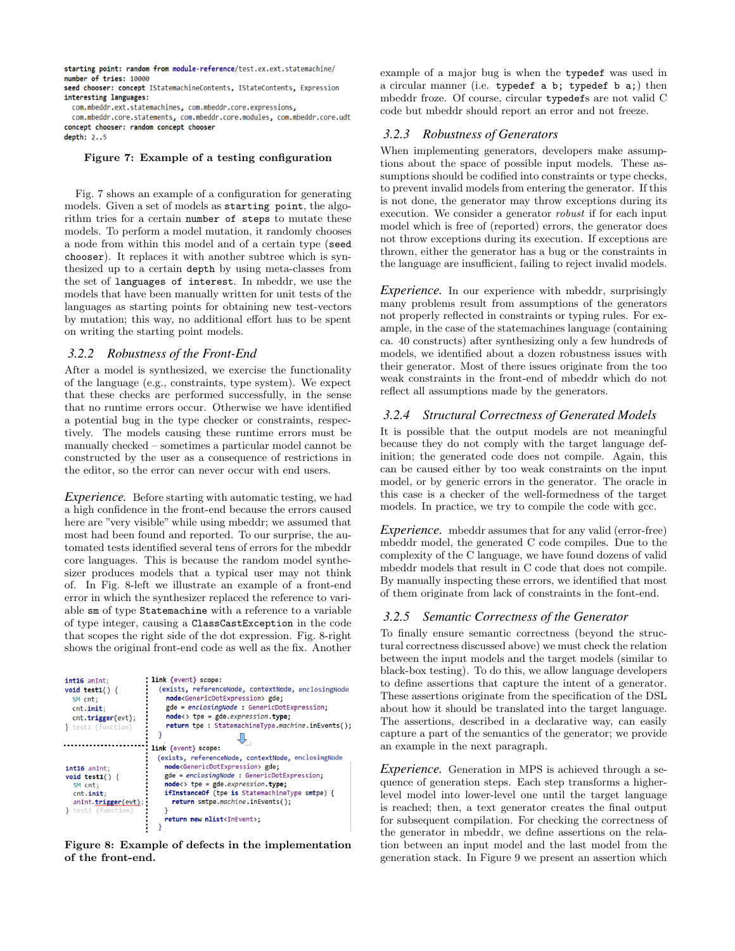starting point: random from module-reference/test.ex.ext.statemachine/ number of tries: 10000

seed chooser: concept IStatemachineContents, IStateContents, Expression interesting languages:

com.mbeddr.ext.statemachines, com.mbeddr.core.expressions,

com.mbeddr.core.statements, com.mbeddr.core.modules, com.mbeddr.core.udt concept chooser: random concept chooser depth:  $2.5$ 

#### Figure 7: Example of a testing configuration

Fig. 7 shows an example of a configuration for generating models. Given a set of models as starting point, the algorithm tries for a certain number of steps to mutate these models. To perform a model mutation, it randomly chooses a node from within this model and of a certain type (seed chooser). It replaces it with another subtree which is synthesized up to a certain depth by using meta-classes from the set of languages of interest. In mbeddr, we use the models that have been manually written for unit tests of the languages as starting points for obtaining new test-vectors by mutation; this way, no additional effort has to be spent on writing the starting point models.

### *3.2.2 Robustness of the Front-End*

After a model is synthesized, we exercise the functionality of the language (e.g., constraints, type system). We expect that these checks are performed successfully, in the sense that no runtime errors occur. Otherwise we have identified a potential bug in the type checker or constraints, respectively. The models causing these runtime errors must be manually checked – sometimes a particular model cannot be constructed by the user as a consequence of restrictions in the editor, so the error can never occur with end users.

*Experience.* Before starting with automatic testing, we had a high confidence in the front-end because the errors caused here are "very visible" while using mbeddr; we assumed that most had been found and reported. To our surprise, the automated tests identified several tens of errors for the mbeddr core languages. This is because the random model synthesizer produces models that a typical user may not think of. In Fig. 8-left we illustrate an example of a front-end error in which the synthesizer replaced the reference to variable sm of type Statemachine with a reference to a variable of type integer, causing a ClassCastException in the code that scopes the right side of the dot expression. Fig. 8-right shows the original front-end code as well as the fix. Another



Figure 8: Example of defects in the implementation of the front-end.

example of a major bug is when the typedef was used in a circular manner (i.e. typedef a b; typedef b a;) then mbeddr froze. Of course, circular typedefs are not valid C code but mbeddr should report an error and not freeze.

### *3.2.3 Robustness of Generators*

When implementing generators, developers make assumptions about the space of possible input models. These assumptions should be codified into constraints or type checks, to prevent invalid models from entering the generator. If this is not done, the generator may throw exceptions during its execution. We consider a generator robust if for each input model which is free of (reported) errors, the generator does not throw exceptions during its execution. If exceptions are thrown, either the generator has a bug or the constraints in the language are insufficient, failing to reject invalid models.

*Experience.* In our experience with mbeddr, surprisingly many problems result from assumptions of the generators not properly reflected in constraints or typing rules. For example, in the case of the statemachines language (containing ca. 40 constructs) after synthesizing only a few hundreds of models, we identified about a dozen robustness issues with their generator. Most of there issues originate from the too weak constraints in the front-end of mbeddr which do not reflect all assumptions made by the generators.

### *3.2.4 Structural Correctness of Generated Models*

It is possible that the output models are not meaningful because they do not comply with the target language definition; the generated code does not compile. Again, this can be caused either by too weak constraints on the input model, or by generic errors in the generator. The oracle in this case is a checker of the well-formedness of the target models. In practice, we try to compile the code with gcc.

*Experience.* mbeddr assumes that for any valid (error-free) mbeddr model, the generated C code compiles. Due to the complexity of the C language, we have found dozens of valid mbeddr models that result in C code that does not compile. By manually inspecting these errors, we identified that most of them originate from lack of constraints in the font-end.

### *3.2.5 Semantic Correctness of the Generator*

To finally ensure semantic correctness (beyond the structural correctness discussed above) we must check the relation between the input models and the target models (similar to black-box testing). To do this, we allow language developers to define assertions that capture the intent of a generator. These assertions originate from the specification of the DSL about how it should be translated into the target language. The assertions, described in a declarative way, can easily capture a part of the semantics of the generator; we provide an example in the next paragraph.

*Experience.* Generation in MPS is achieved through a sequence of generation steps. Each step transforms a higherlevel model into lower-level one until the target language is reached; then, a text generator creates the final output for subsequent compilation. For checking the correctness of the generator in mbeddr, we define assertions on the relation between an input model and the last model from the generation stack. In Figure 9 we present an assertion which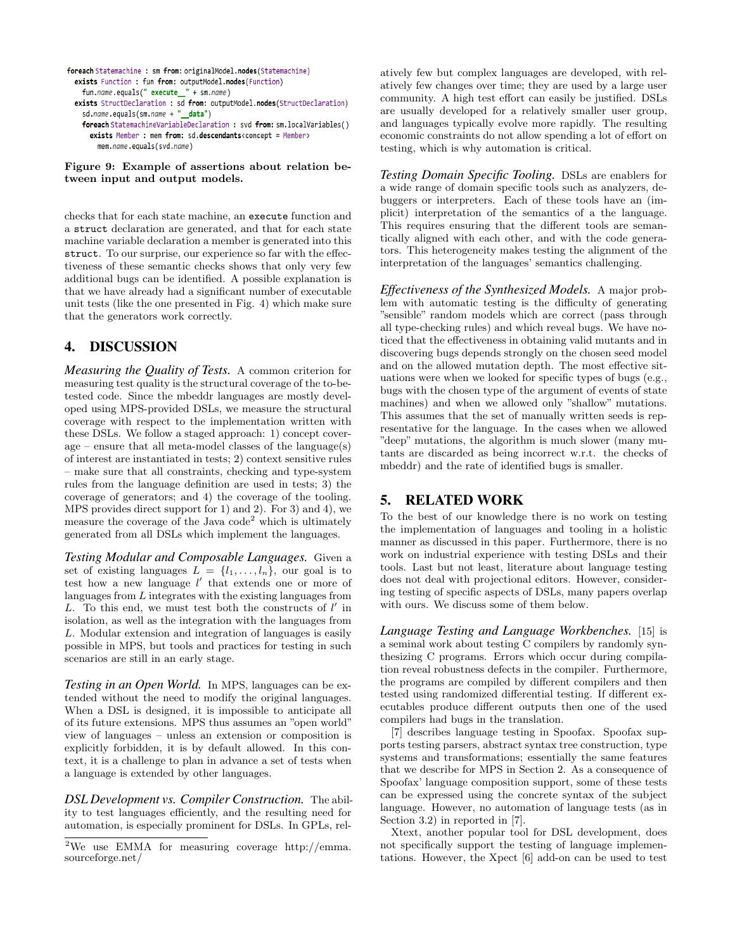```
foreach Statemachine : sm from: originalModel.nodes(Statemachine)
 exists Function : fun from: outputModel.nodes(Function)
    fun.name.equals(" execute_" + sm.name)
 exists StructDeclaration : sd from: outputModel.nodes(StructDeclaration)
    sd.name.equals(sm.name + "_data")
   foreach StatemachineVariableDeclaration : svd from: sm.localVariables()
     exists Member : mem from: sd.descendants<concept = Member>
       mem.name.equals(svd.name)
```
Figure 9: Example of assertions about relation between input and output models.

checks that for each state machine, an execute function and a struct declaration are generated, and that for each state machine variable declaration a member is generated into this struct. To our surprise, our experience so far with the effectiveness of these semantic checks shows that only very few additional bugs can be identified. A possible explanation is that we have already had a significant number of executable unit tests (like the one presented in Fig. 4) which make sure that the generators work correctly.

# 4. DISCUSSION

*Measuring the Quality of Tests.* A common criterion for measuring test quality is the structural coverage of the to-betested code. Since the mbeddr languages are mostly developed using MPS-provided DSLs, we measure the structural coverage with respect to the implementation written with these DSLs. We follow a staged approach: 1) concept coverage – ensure that all meta-model classes of the language $(s)$ of interest are instantiated in tests; 2) context sensitive rules – make sure that all constraints, checking and type-system rules from the language definition are used in tests; 3) the coverage of generators; and 4) the coverage of the tooling. MPS provides direct support for 1) and 2). For 3) and 4), we measure the coverage of the Java  $\text{code}^2$  which is ultimately generated from all DSLs which implement the languages.

*Testing Modular and Composable Languages.* Given a set of existing languages  $L = \{l_1, \ldots, l_n\}$ , our goal is to test how a new language  $l'$  that extends one or more of languages from L integrates with the existing languages from  $L$ . To this end, we must test both the constructs of  $l'$  in isolation, as well as the integration with the languages from L. Modular extension and integration of languages is easily possible in MPS, but tools and practices for testing in such scenarios are still in an early stage.

*Testing in an Open World.* In MPS, languages can be extended without the need to modify the original languages. When a DSL is designed, it is impossible to anticipate all of its future extensions. MPS thus assumes an "open world" view of languages – unless an extension or composition is explicitly forbidden, it is by default allowed. In this context, it is a challenge to plan in advance a set of tests when a language is extended by other languages.

*DSL Development vs. Compiler Construction.* The ability to test languages efficiently, and the resulting need for automation, is especially prominent for DSLs. In GPLs, relatively few but complex languages are developed, with relatively few changes over time; they are used by a large user community. A high test effort can easily be justified. DSLs are usually developed for a relatively smaller user group, and languages typically evolve more rapidly. The resulting economic constraints do not allow spending a lot of effort on testing, which is why automation is critical.

*Testing Domain Specific Tooling.* DSLs are enablers for a wide range of domain specific tools such as analyzers, debuggers or interpreters. Each of these tools have an (implicit) interpretation of the semantics of a the language. This requires ensuring that the different tools are semantically aligned with each other, and with the code generators. This heterogeneity makes testing the alignment of the interpretation of the languages' semantics challenging.

*Effectiveness of the Synthesized Models.* A major problem with automatic testing is the difficulty of generating "sensible" random models which are correct (pass through all type-checking rules) and which reveal bugs. We have noticed that the effectiveness in obtaining valid mutants and in discovering bugs depends strongly on the chosen seed model and on the allowed mutation depth. The most effective situations were when we looked for specific types of bugs (e.g., bugs with the chosen type of the argument of events of state machines) and when we allowed only "shallow" mutations. This assumes that the set of manually written seeds is representative for the language. In the cases when we allowed "deep" mutations, the algorithm is much slower (many mutants are discarded as being incorrect w.r.t. the checks of mbeddr) and the rate of identified bugs is smaller.

# 5. RELATED WORK

To the best of our knowledge there is no work on testing the implementation of languages and tooling in a holistic manner as discussed in this paper. Furthermore, there is no work on industrial experience with testing DSLs and their tools. Last but not least, literature about language testing does not deal with projectional editors. However, considering testing of specific aspects of DSLs, many papers overlap with ours. We discuss some of them below.

*Language Testing and Language Workbenches.* [15] is a seminal work about testing C compilers by randomly synthesizing C programs. Errors which occur during compilation reveal robustness defects in the compiler. Furthermore, the programs are compiled by different compilers and then tested using randomized differential testing. If different executables produce different outputs then one of the used compilers had bugs in the translation.

[7] describes language testing in Spoofax. Spoofax supports testing parsers, abstract syntax tree construction, type systems and transformations; essentially the same features that we describe for MPS in Section 2. As a consequence of Spoofax' language composition support, some of these tests can be expressed using the concrete syntax of the subject language. However, no automation of language tests (as in Section 3.2) in reported in [7].

Xtext, another popular tool for DSL development, does not specifically support the testing of language implementations. However, the Xpect [6] add-on can be used to test

<sup>2</sup>We use EMMA for measuring coverage http://emma. sourceforge.net/